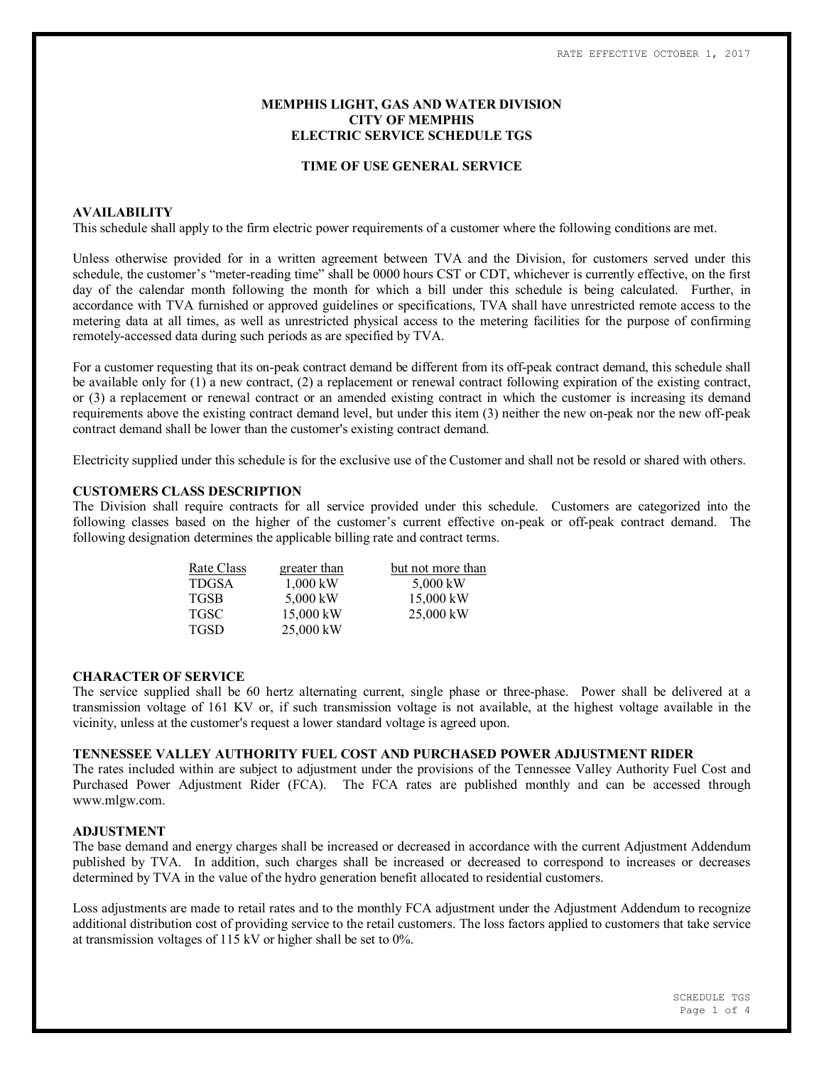# **MEMPHIS LIGHT, GAS AND WATER DIVISION CITY OF MEMPHIS ELECTRIC SERVICE SCHEDULE TGS**

### **TIME OF USE GENERAL SERVICE**

### **AVAILABILITY**

This schedule shall apply to the firm electric power requirements of a customer where the following conditions are met.

Unless otherwise provided for in a written agreement between TVA and the Division, for customers served under this schedule, the customer's "meter-reading time" shall be 0000 hours CST or CDT, whichever is currently effective, on the first day of the calendar month following the month for which a bill under this schedule is being calculated. Further, in accordance with TVA furnished or approved guidelines or specifications, TVA shall have unrestricted remote access to the metering data at all times, as well as unrestricted physical access to the metering facilities for the purpose of confirming remotely-accessed data during such periods as are specified by TVA.

For a customer requesting that its on-peak contract demand be different from its off-peak contract demand, this schedule shall be available only for (1) a new contract, (2) a replacement or renewal contract following expiration of the existing contract, or (3) a replacement or renewal contract or an amended existing contract in which the customer is increasing its demand requirements above the existing contract demand level, but under this item (3) neither the new on-peak nor the new off-peak contract demand shall be lower than the customer's existing contract demand.

Electricity supplied under this schedule is for the exclusive use of the Customer and shall not be resold or shared with others.

## **CUSTOMERS CLASS DESCRIPTION**

The Division shall require contracts for all service provided under this schedule. Customers are categorized into the following classes based on the higher of the customer's current effective on-peak or off-peak contract demand. The following designation determines the applicable billing rate and contract terms.

| Rate Class   | greater than | but not more than |  |  |  |
|--------------|--------------|-------------------|--|--|--|
| <b>TDGSA</b> | $1,000$ kW   | 5,000 kW          |  |  |  |
| <b>TGSB</b>  | 5,000 kW     | 15,000 kW         |  |  |  |
| <b>TGSC</b>  | 15,000 kW    | $25,000$ kW       |  |  |  |
| <b>TGSD</b>  | 25,000 kW    |                   |  |  |  |

#### **CHARACTER OF SERVICE**

The service supplied shall be 60 hertz alternating current, single phase or three-phase. Power shall be delivered at a transmission voltage of 161 KV or, if such transmission voltage is not available, at the highest voltage available in the vicinity, unless at the customer's request a lower standard voltage is agreed upon.

# **TENNESSEE VALLEY AUTHORITY FUEL COST AND PURCHASED POWER ADJUSTMENT RIDER**

The rates included within are subject to adjustment under the provisions of the Tennessee Valley Authority Fuel Cost and Purchased Power Adjustment Rider (FCA). The FCA rates are published monthly and can be accessed through www.mlgw.com.

### **ADJUSTMENT**

The base demand and energy charges shall be increased or decreased in accordance with the current Adjustment Addendum published by TVA. In addition, such charges shall be increased or decreased to correspond to increases or decreases determined by TVA in the value of the hydro generation benefit allocated to residential customers.

Loss adjustments are made to retail rates and to the monthly FCA adjustment under the Adjustment Addendum to recognize additional distribution cost of providing service to the retail customers. The loss factors applied to customers that take service at transmission voltages of 115 kV or higher shall be set to 0%.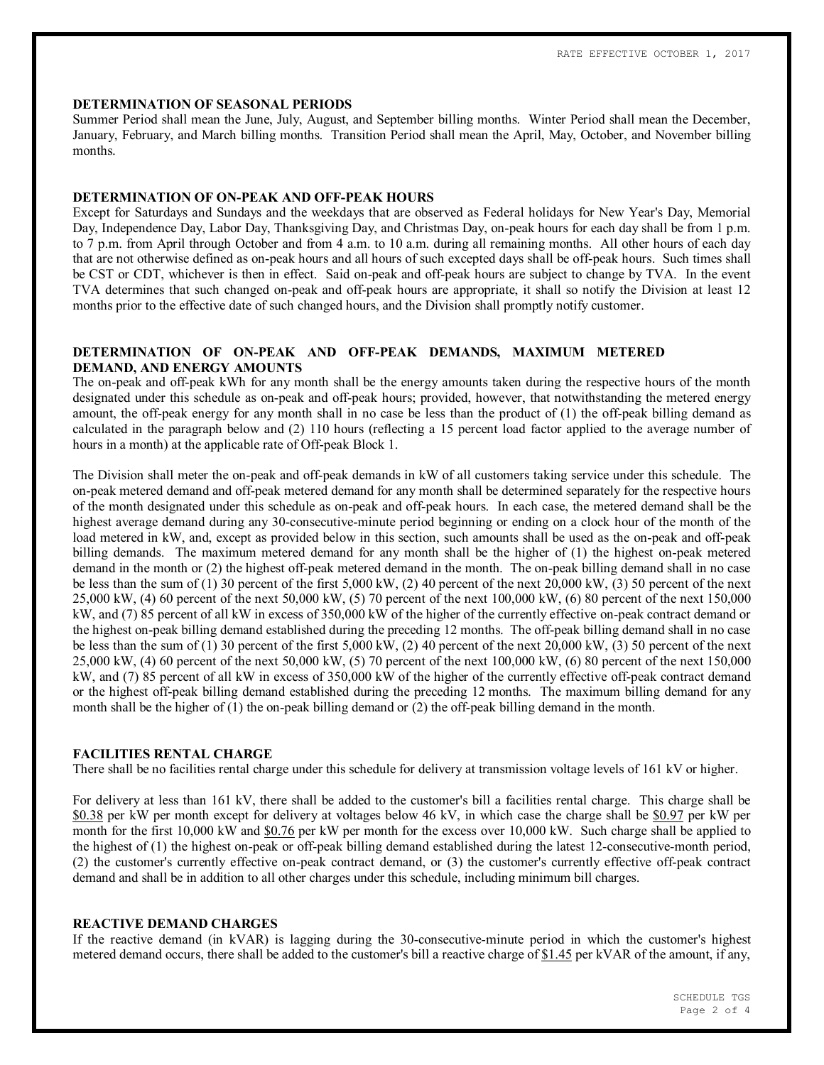### **DETERMINATION OF SEASONAL PERIODS**

Summer Period shall mean the June, July, August, and September billing months. Winter Period shall mean the December, January, February, and March billing months. Transition Period shall mean the April, May, October, and November billing months.

### **DETERMINATION OF ON-PEAK AND OFF-PEAK HOURS**

Except for Saturdays and Sundays and the weekdays that are observed as Federal holidays for New Year's Day, Memorial Day, Independence Day, Labor Day, Thanksgiving Day, and Christmas Day, on-peak hours for each day shall be from 1 p.m. to 7 p.m. from April through October and from 4 a.m. to 10 a.m. during all remaining months. All other hours of each day that are not otherwise defined as on-peak hours and all hours of such excepted days shall be off-peak hours. Such times shall be CST or CDT, whichever is then in effect. Said on-peak and off-peak hours are subject to change by TVA. In the event TVA determines that such changed on-peak and off-peak hours are appropriate, it shall so notify the Division at least 12 months prior to the effective date of such changed hours, and the Division shall promptly notify customer.

# **DETERMINATION OF ON-PEAK AND OFF-PEAK DEMANDS, MAXIMUM METERED DEMAND, AND ENERGY AMOUNTS**

The on-peak and off-peak kWh for any month shall be the energy amounts taken during the respective hours of the month designated under this schedule as on-peak and off-peak hours; provided, however, that notwithstanding the metered energy amount, the off-peak energy for any month shall in no case be less than the product of (1) the off-peak billing demand as calculated in the paragraph below and (2) 110 hours (reflecting a 15 percent load factor applied to the average number of hours in a month) at the applicable rate of Off-peak Block 1.

The Division shall meter the on-peak and off-peak demands in kW of all customers taking service under this schedule. The on-peak metered demand and off-peak metered demand for any month shall be determined separately for the respective hours of the month designated under this schedule as on-peak and off-peak hours. In each case, the metered demand shall be the highest average demand during any 30-consecutive-minute period beginning or ending on a clock hour of the month of the load metered in kW, and, except as provided below in this section, such amounts shall be used as the on-peak and off-peak billing demands. The maximum metered demand for any month shall be the higher of (1) the highest on-peak metered demand in the month or (2) the highest off-peak metered demand in the month. The on-peak billing demand shall in no case be less than the sum of (1) 30 percent of the first 5,000 kW, (2) 40 percent of the next 20,000 kW, (3) 50 percent of the next 25,000 kW, (4) 60 percent of the next 50,000 kW, (5) 70 percent of the next 100,000 kW, (6) 80 percent of the next 150,000 kW, and (7) 85 percent of all kW in excess of 350,000 kW of the higher of the currently effective on-peak contract demand or the highest on-peak billing demand established during the preceding 12 months. The off-peak billing demand shall in no case be less than the sum of (1) 30 percent of the first 5,000 kW, (2) 40 percent of the next 20,000 kW, (3) 50 percent of the next 25,000 kW, (4) 60 percent of the next 50,000 kW, (5) 70 percent of the next 100,000 kW, (6) 80 percent of the next 150,000 kW, and (7) 85 percent of all kW in excess of 350,000 kW of the higher of the currently effective off-peak contract demand or the highest off-peak billing demand established during the preceding 12 months. The maximum billing demand for any month shall be the higher of (1) the on-peak billing demand or (2) the off-peak billing demand in the month.

# **FACILITIES RENTAL CHARGE**

There shall be no facilities rental charge under this schedule for delivery at transmission voltage levels of 161 kV or higher.

For delivery at less than 161 kV, there shall be added to the customer's bill a facilities rental charge. This charge shall be \$0.38 per kW per month except for delivery at voltages below 46 kV, in which case the charge shall be \$0.97 per kW per month for the first 10,000 kW and \$0.76 per kW per month for the excess over 10,000 kW. Such charge shall be applied to the highest of (1) the highest on-peak or off-peak billing demand established during the latest 12-consecutive-month period, (2) the customer's currently effective on-peak contract demand, or (3) the customer's currently effective off-peak contract demand and shall be in addition to all other charges under this schedule, including minimum bill charges.

# **REACTIVE DEMAND CHARGES**

If the reactive demand (in kVAR) is lagging during the 30-consecutive-minute period in which the customer's highest metered demand occurs, there shall be added to the customer's bill a reactive charge of \$1.45 per kVAR of the amount, if any,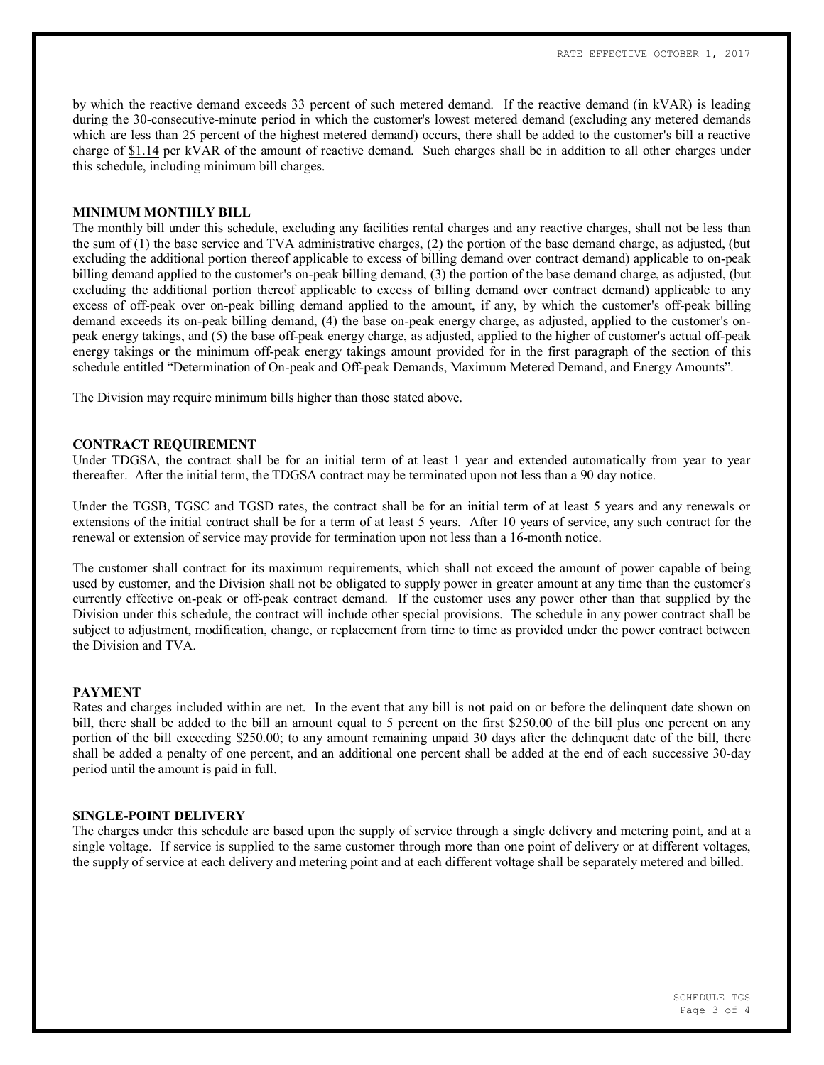by which the reactive demand exceeds 33 percent of such metered demand. If the reactive demand (in kVAR) is leading during the 30-consecutive-minute period in which the customer's lowest metered demand (excluding any metered demands which are less than 25 percent of the highest metered demand) occurs, there shall be added to the customer's bill a reactive charge of \$1.14 per kVAR of the amount of reactive demand. Such charges shall be in addition to all other charges under this schedule, including minimum bill charges.

### **MINIMUM MONTHLY BILL**

The monthly bill under this schedule, excluding any facilities rental charges and any reactive charges, shall not be less than the sum of (1) the base service and TVA administrative charges, (2) the portion of the base demand charge, as adjusted, (but excluding the additional portion thereof applicable to excess of billing demand over contract demand) applicable to on-peak billing demand applied to the customer's on-peak billing demand, (3) the portion of the base demand charge, as adjusted, (but excluding the additional portion thereof applicable to excess of billing demand over contract demand) applicable to any excess of off-peak over on-peak billing demand applied to the amount, if any, by which the customer's off-peak billing demand exceeds its on-peak billing demand, (4) the base on-peak energy charge, as adjusted, applied to the customer's onpeak energy takings, and (5) the base off-peak energy charge, as adjusted, applied to the higher of customer's actual off-peak energy takings or the minimum off-peak energy takings amount provided for in the first paragraph of the section of this schedule entitled "Determination of On-peak and Off-peak Demands, Maximum Metered Demand, and Energy Amounts".

The Division may require minimum bills higher than those stated above.

### **CONTRACT REQUIREMENT**

Under TDGSA, the contract shall be for an initial term of at least 1 year and extended automatically from year to year thereafter. After the initial term, the TDGSA contract may be terminated upon not less than a 90 day notice.

Under the TGSB, TGSC and TGSD rates, the contract shall be for an initial term of at least 5 years and any renewals or extensions of the initial contract shall be for a term of at least 5 years. After 10 years of service, any such contract for the renewal or extension of service may provide for termination upon not less than a 16-month notice.

The customer shall contract for its maximum requirements, which shall not exceed the amount of power capable of being used by customer, and the Division shall not be obligated to supply power in greater amount at any time than the customer's currently effective on-peak or off-peak contract demand. If the customer uses any power other than that supplied by the Division under this schedule, the contract will include other special provisions. The schedule in any power contract shall be subject to adjustment, modification, change, or replacement from time to time as provided under the power contract between the Division and TVA.

#### **PAYMENT**

Rates and charges included within are net. In the event that any bill is not paid on or before the delinquent date shown on bill, there shall be added to the bill an amount equal to 5 percent on the first \$250.00 of the bill plus one percent on any portion of the bill exceeding \$250.00; to any amount remaining unpaid 30 days after the delinquent date of the bill, there shall be added a penalty of one percent, and an additional one percent shall be added at the end of each successive 30-day period until the amount is paid in full.

### **SINGLE-POINT DELIVERY**

The charges under this schedule are based upon the supply of service through a single delivery and metering point, and at a single voltage. If service is supplied to the same customer through more than one point of delivery or at different voltages, the supply of service at each delivery and metering point and at each different voltage shall be separately metered and billed.